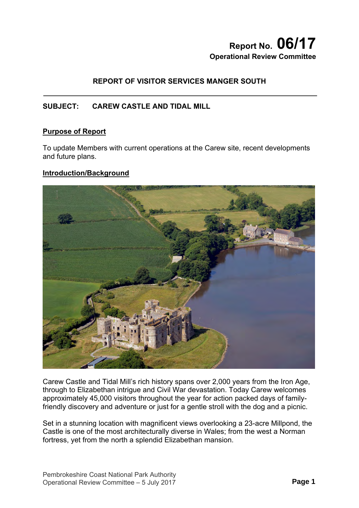# **Report No. 06/17 Operational Review Committee**

# **REPORT OF VISITOR SERVICES MANGER SOUTH**

# **SUBJECT: CAREW CASTLE AND TIDAL MILL**

#### **Purpose of Report**

To update Members with current operations at the Carew site, recent developments and future plans.

#### **Introduction/Background**



Carew Castle and Tidal Mill's rich history spans over 2,000 years from the Iron Age, through to Elizabethan intrigue and Civil War devastation. Today Carew welcomes approximately 45,000 visitors throughout the year for action packed days of familyfriendly discovery and adventure or just for a gentle stroll with the dog and a picnic.

Set in a stunning location with magnificent views overlooking a 23-acre Millpond, the Castle is one of the most architecturally diverse in Wales; from the west a Norman fortress, yet from the north a splendid Elizabethan mansion.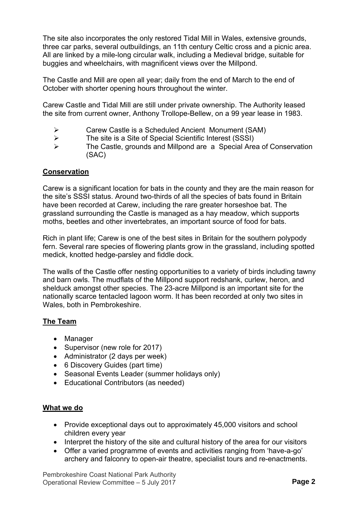The site also incorporates the only restored Tidal Mill in Wales, extensive grounds, three car parks, several outbuildings, an 11th century Celtic cross and a picnic area. All are linked by a mile-long circular walk, including a Medieval bridge, suitable for buggies and wheelchairs, with magnificent views over the Millpond.

The Castle and Mill are open all year; daily from the end of March to the end of October with shorter opening hours throughout the winter.

Carew Castle and Tidal Mill are still under private ownership. The Authority leased the site from current owner, Anthony Trollope-Bellew, on a 99 year lease in 1983.

- Carew Castle is a Scheduled Ancient Monument (SAM)
- $\triangleright$  The site is a Site of Special Scientific Interest (SSSI)
- The Castle, grounds and Millpond are a Special Area of Conservation (SAC)

#### **Conservation**

Carew is a significant location for bats in the county and they are the main reason for the site's SSSI status. Around two-thirds of all the species of bats found in Britain have been recorded at Carew, including the rare greater horseshoe bat. The grassland surrounding the Castle is managed as a hay meadow, which supports moths, beetles and other invertebrates, an important source of food for bats.

Rich in plant life; Carew is one of the best sites in Britain for the southern polypody fern. Several rare species of flowering plants grow in the grassland, including spotted medick, knotted hedge-parsley and fiddle dock.

The walls of the Castle offer nesting opportunities to a variety of birds including tawny and barn owls. The mudflats of the Millpond support redshank, curlew, heron, and shelduck amongst other species. The 23-acre Millpond is an important site for the nationally scarce tentacled lagoon worm. It has been recorded at only two sites in Wales, both in Pembrokeshire.

### **The Team**

- Manager
- Supervisor (new role for 2017)
- Administrator (2 days per week)
- 6 Discovery Guides (part time)
- Seasonal Events Leader (summer holidays only)
- Educational Contributors (as needed)

#### **What we do**

- Provide exceptional days out to approximately 45,000 visitors and school children every year
- Interpret the history of the site and cultural history of the area for our visitors
- Offer a varied programme of events and activities ranging from 'have-a-go' archery and falconry to open-air theatre, specialist tours and re-enactments.

Pembrokeshire Coast National Park Authority Operational Review Committee – 5 July 2017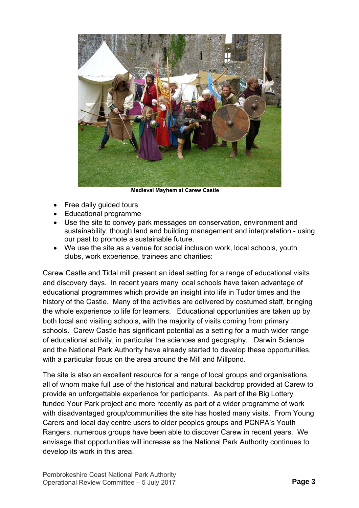

 **Medieval Mayhem at Carew Castle** 

- Free daily guided tours
- Educational programme
- Use the site to convey park messages on conservation, environment and sustainability, though land and building management and interpretation - using our past to promote a sustainable future.
- We use the site as a venue for social inclusion work, local schools, youth clubs, work experience, trainees and charities:

Carew Castle and Tidal mill present an ideal setting for a range of educational visits and discovery days. In recent years many local schools have taken advantage of educational programmes which provide an insight into life in Tudor times and the history of the Castle. Many of the activities are delivered by costumed staff, bringing the whole experience to life for learners. Educational opportunities are taken up by both local and visiting schools, with the majority of visits coming from primary schools. Carew Castle has significant potential as a setting for a much wider range of educational activity, in particular the sciences and geography. Darwin Science and the National Park Authority have already started to develop these opportunities, with a particular focus on the area around the Mill and Millpond.

The site is also an excellent resource for a range of local groups and organisations, all of whom make full use of the historical and natural backdrop provided at Carew to provide an unforgettable experience for participants. As part of the Big Lottery funded Your Park project and more recently as part of a wider programme of work with disadvantaged group/communities the site has hosted many visits. From Young Carers and local day centre users to older peoples groups and PCNPA's Youth Rangers, numerous groups have been able to discover Carew in recent years. We envisage that opportunities will increase as the National Park Authority continues to develop its work in this area.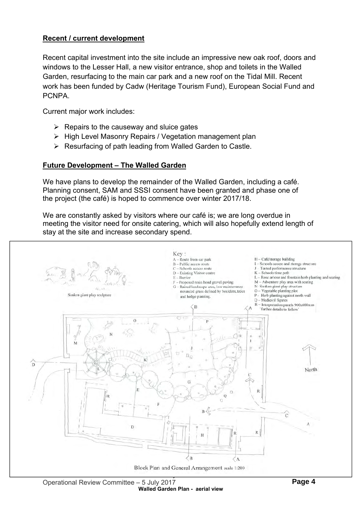## **Recent / current development**

Recent capital investment into the site include an impressive new oak roof, doors and windows to the Lesser Hall, a new visitor entrance, shop and toilets in the Walled Garden, resurfacing to the main car park and a new roof on the Tidal Mill. Recent work has been funded by Cadw (Heritage Tourism Fund), European Social Fund and PCNPA.

Current major work includes:

- $\triangleright$  Repairs to the causeway and sluice gates
- $\triangleright$  High Level Masonry Repairs / Vegetation management plan
- $\triangleright$  Resurfacing of path leading from Walled Garden to Castle.

### **Future Development – The Walled Garden**

We have plans to develop the remainder of the Walled Garden, including a café. Planning consent, SAM and SSSI consent have been granted and phase one of the project (the café) is hoped to commence over winter 2017/18.

We are constantly asked by visitors where our café is; we are long overdue in meeting the visitor need for onsite catering, which will also hopefully extend length of stay at the site and increase secondary spend.

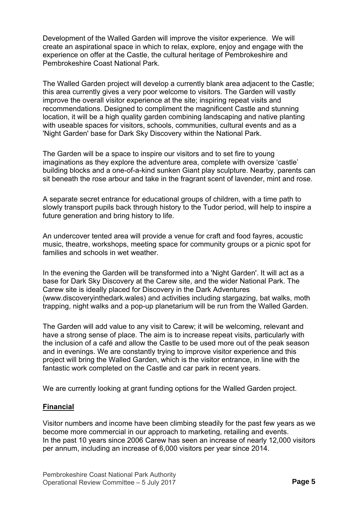Development of the Walled Garden will improve the visitor experience. We will create an aspirational space in which to relax, explore, enjoy and engage with the experience on offer at the Castle, the cultural heritage of Pembrokeshire and Pembrokeshire Coast National Park.

The Walled Garden project will develop a currently blank area adjacent to the Castle; this area currently gives a very poor welcome to visitors. The Garden will vastly improve the overall visitor experience at the site; inspiring repeat visits and recommendations. Designed to compliment the magnificent Castle and stunning location, it will be a high quality garden combining landscaping and native planting with useable spaces for visitors, schools, communities, cultural events and as a 'Night Garden' base for Dark Sky Discovery within the National Park.

The Garden will be a space to inspire our visitors and to set fire to young imaginations as they explore the adventure area, complete with oversize 'castle' building blocks and a one-of-a-kind sunken Giant play sculpture. Nearby, parents can sit beneath the rose arbour and take in the fragrant scent of lavender, mint and rose.

A separate secret entrance for educational groups of children, with a time path to slowly transport pupils back through history to the Tudor period, will help to inspire a future generation and bring history to life.

An undercover tented area will provide a venue for craft and food fayres, acoustic music, theatre, workshops, meeting space for community groups or a picnic spot for families and schools in wet weather.

In the evening the Garden will be transformed into a 'Night Garden'. It will act as a base for Dark Sky Discovery at the Carew site, and the wider National Park. The Carew site is ideally placed for Discovery in the Dark Adventures (www.discoveryinthedark.wales) and activities including stargazing, bat walks, moth trapping, night walks and a pop-up planetarium will be run from the Walled Garden.

The Garden will add value to any visit to Carew; it will be welcoming, relevant and have a strong sense of place. The aim is to increase repeat visits, particularly with the inclusion of a café and allow the Castle to be used more out of the peak season and in evenings. We are constantly trying to improve visitor experience and this project will bring the Walled Garden, which is the visitor entrance, in line with the fantastic work completed on the Castle and car park in recent years.

We are currently looking at grant funding options for the Walled Garden project.

### **Financial**

Visitor numbers and income have been climbing steadily for the past few years as we become more commercial in our approach to marketing, retailing and events. In the past 10 years since 2006 Carew has seen an increase of nearly 12,000 visitors per annum, including an increase of 6,000 visitors per year since 2014.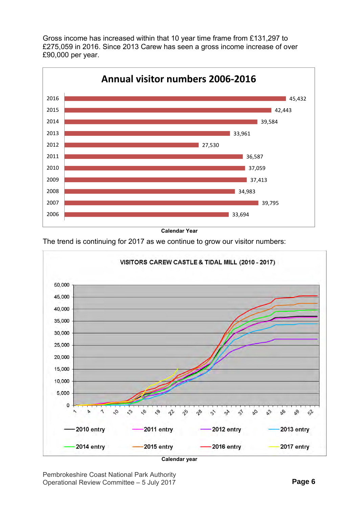Gross income has increased within that 10 year time frame from £131,297 to £275,059 in 2016. Since 2013 Carew has seen a gross income increase of over £90,000 per year.





The trend is continuing for 2017 as we continue to grow our visitor numbers:



**Calendar year** 

Pembrokeshire Coast National Park Authority Operational Review Committee – 5 July 2017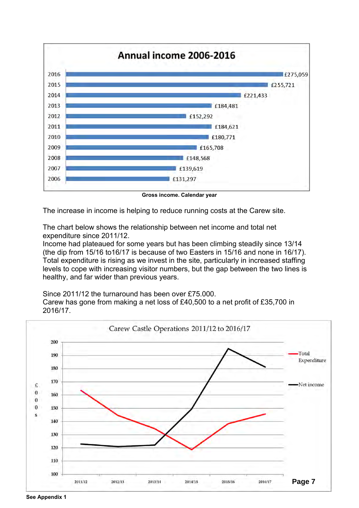

**Gross income. Calendar year** 

The increase in income is helping to reduce running costs at the Carew site.

The chart below shows the relationship between net income and total net expenditure since 2011/12.

Income had plateaued for some years but has been climbing steadily since 13/14 (the dip from 15/16 to16/17 is because of two Easters in 15/16 and none in 16/17). Total expenditure is rising as we invest in the site, particularly in increased staffing levels to cope with increasing visitor numbers, but the gap between the two lines is healthy, and far wider than previous years.

Since 2011/12 the turnaround has been over £75.000.

Carew has gone from making a net loss of £40,500 to a net profit of £35,700 in 2016/17.

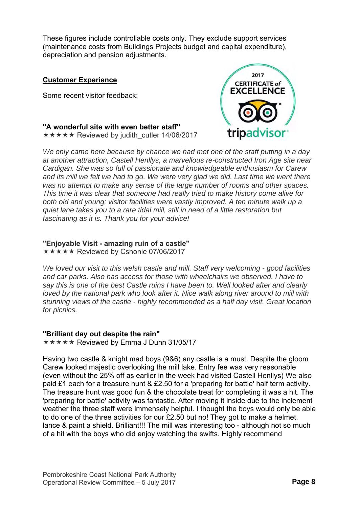These figures include controllable costs only. They exclude support services (maintenance costs from Buildings Projects budget and capital expenditure), depreciation and pension adjustments.

#### **Customer Experience**

Some recent visitor feedback:



**"A wonderful site with even better staff"** 

 $\star \star \star \star \star$  Reviewed by judith cutler 14/06/2017

*We only came here because by chance we had met one of the staff putting in a day at another attraction, Castell Henllys, a marvellous re-constructed Iron Age site near Cardigan. She was so full of passionate and knowledgeable enthusiasm for Carew*  and its mill we felt we had to go. We were very glad we did. Last time we went there *was no attempt to make any sense of the large number of rooms and other spaces. This time it was clear that someone had really tried to make history come alive for both old and young; visitor facilities were vastly improved. A ten minute walk up a quiet lane takes you to a rare tidal mill, still in need of a little restoration but fascinating as it is. Thank you for your advice!* 

#### **"Enjoyable Visit - amazing ruin of a castle"**

**★★★★★ Reviewed by Cshonie 07/06/2017** 

*We loved our visit to this welsh castle and mill. Staff very welcoming - good facilities and car parks. Also has access for those with wheelchairs we observed. I have to say this is one of the best Castle ruins I have been to. Well looked after and clearly loved by the national park who look after it. Nice walk along river around to mill with stunning views of the castle - highly recommended as a half day visit. Great location for picnics.* 

#### **"Brilliant day out despite the rain"**

 $\star \star \star \star \star$  Reviewed by Emma J Dunn 31/05/17

Having two castle & knight mad boys (9&6) any castle is a must. Despite the gloom Carew looked majestic overlooking the mill lake. Entry fee was very reasonable (even without the 25% off as earlier in the week had visited Castell Henllys) We also paid £1 each for a treasure hunt & £2.50 for a 'preparing for battle' half term activity. The treasure hunt was good fun & the chocolate treat for completing it was a hit. The 'preparing for battle' activity was fantastic. After moving it inside due to the inclement weather the three staff were immensely helpful. I thought the boys would only be able to do one of the three activities for our £2.50 but no! They got to make a helmet, lance & paint a shield. Brilliant!!! The mill was interesting too - although not so much of a hit with the boys who did enjoy watching the swifts. Highly recommend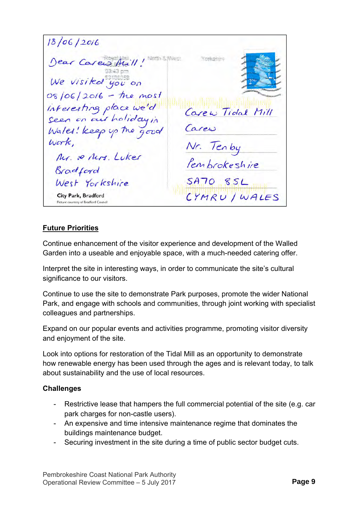$18/06/2016$ Neith & West Dear Carew Aull! York Arriva  $03:43$  nm We visited you on 08/06/2016 - the most interesting place we'd are w Tidal Mill seen on our holiday in Carew Wales! keep up the Nr. Tenby Work Mr. & Mrs. Luker Pembrokeshire Bradford West Yorkshire SA70 SSL CYMRU / WALES City Park, Bradford Picture courtesy of Bradford Council

# **Future Priorities**

Continue enhancement of the visitor experience and development of the Walled Garden into a useable and enjoyable space, with a much-needed catering offer.

Interpret the site in interesting ways, in order to communicate the site's cultural significance to our visitors.

Continue to use the site to demonstrate Park purposes, promote the wider National Park, and engage with schools and communities, through joint working with specialist colleagues and partnerships.

Expand on our popular events and activities programme, promoting visitor diversity and enjoyment of the site.

Look into options for restoration of the Tidal Mill as an opportunity to demonstrate how renewable energy has been used through the ages and is relevant today, to talk about sustainability and the use of local resources.

### **Challenges**

- Restrictive lease that hampers the full commercial potential of the site (e.g. car park charges for non-castle users).
- An expensive and time intensive maintenance regime that dominates the buildings maintenance budget.
- Securing investment in the site during a time of public sector budget cuts.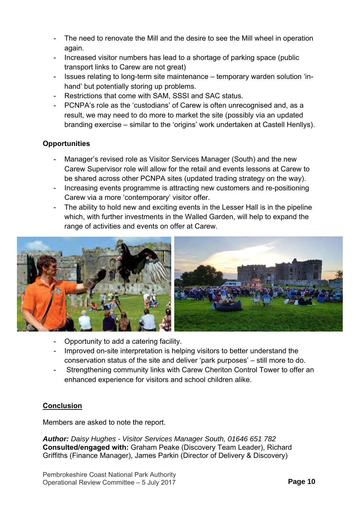- The need to renovate the Mill and the desire to see the Mill wheel in operation again.
- Increased visitor numbers has lead to a shortage of parking space (public transport links to Carew are not great)
- Issues relating to long-term site maintenance temporary warden solution 'inhand' but potentially storing up problems.
- Restrictions that come with SAM, SSSI and SAC status.
- PCNPA's role as the 'custodians' of Carew is often unrecognised and, as a result, we may need to do more to market the site (possibly via an updated branding exercise – similar to the 'origins' work undertaken at Castell Henllys).

# **Opportunities**

- Manager's revised role as Visitor Services Manager (South) and the new Carew Supervisor role will allow for the retail and events lessons at Carew to be shared across other PCNPA sites (updated trading strategy on the way).
- Increasing events programme is attracting new customers and re-positioning Carew via a more 'contemporary' visitor offer.
- The ability to hold new and exciting events in the Lesser Hall is in the pipeline which, with further investments in the Walled Garden, will help to expand the range of activities and events on offer at Carew.



- Opportunity to add a catering facility.
- Improved on-site interpretation is helping visitors to better understand the conservation status of the site and deliver 'park purposes' – still more to do.
- Strengthening community links with Carew Cheriton Control Tower to offer an enhanced experience for visitors and school children alike.

# **Conclusion**

Members are asked to note the report.

*Author: Daisy Hughes - Visitor Services Manager South, 01646 651 782*  **Consulted/engaged with:** Graham Peake (Discovery Team Leader), Richard Griffiths (Finance Manager), James Parkin (Director of Delivery & Discovery)